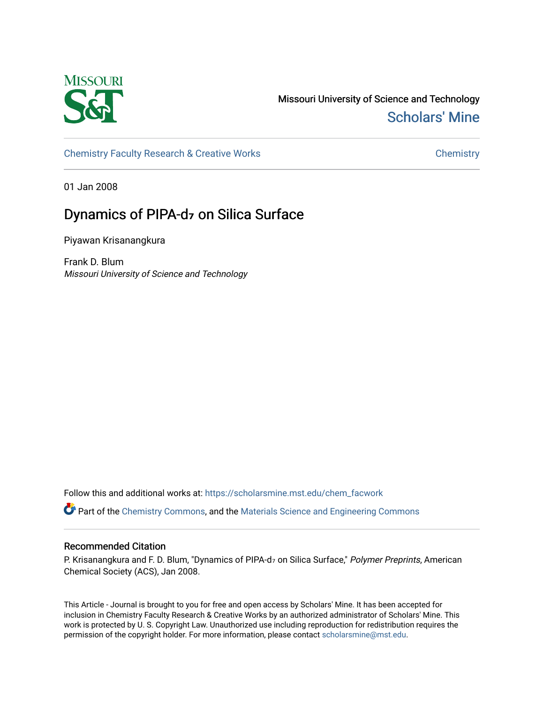

Missouri University of Science and Technology [Scholars' Mine](https://scholarsmine.mst.edu/) 

[Chemistry Faculty Research & Creative Works](https://scholarsmine.mst.edu/chem_facwork) **Chemistry** Chemistry

01 Jan 2008

# Dynamics of PIPA-d**₇** on Silica Surface

Piyawan Krisanangkura

Frank D. Blum Missouri University of Science and Technology

Follow this and additional works at: [https://scholarsmine.mst.edu/chem\\_facwork](https://scholarsmine.mst.edu/chem_facwork?utm_source=scholarsmine.mst.edu%2Fchem_facwork%2F2404&utm_medium=PDF&utm_campaign=PDFCoverPages)

Part of the [Chemistry Commons,](http://network.bepress.com/hgg/discipline/131?utm_source=scholarsmine.mst.edu%2Fchem_facwork%2F2404&utm_medium=PDF&utm_campaign=PDFCoverPages) and the [Materials Science and Engineering Commons](http://network.bepress.com/hgg/discipline/285?utm_source=scholarsmine.mst.edu%2Fchem_facwork%2F2404&utm_medium=PDF&utm_campaign=PDFCoverPages)

# Recommended Citation

P. Krisanangkura and F. D. Blum, "Dynamics of PIPA-d<sub>7</sub> on Silica Surface," Polymer Preprints, American Chemical Society (ACS), Jan 2008.

This Article - Journal is brought to you for free and open access by Scholars' Mine. It has been accepted for inclusion in Chemistry Faculty Research & Creative Works by an authorized administrator of Scholars' Mine. This work is protected by U. S. Copyright Law. Unauthorized use including reproduction for redistribution requires the permission of the copyright holder. For more information, please contact [scholarsmine@mst.edu](mailto:scholarsmine@mst.edu).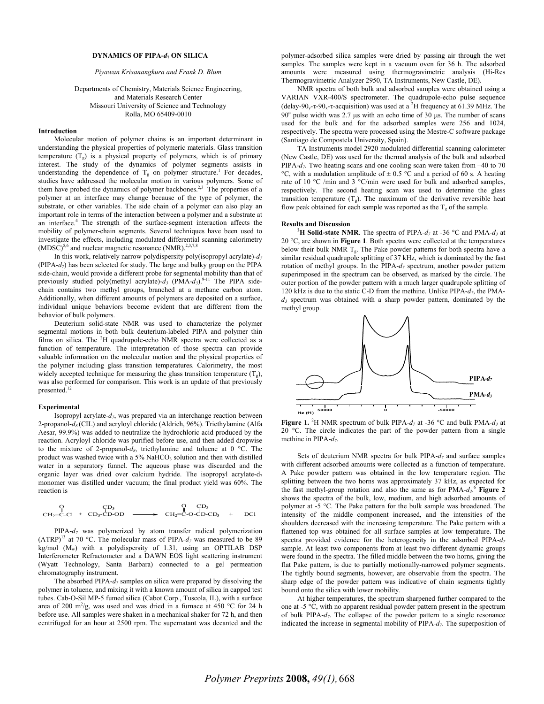#### **DYNAMICS OF PIPA-***d***7 ON SILICA**

## *Piyawan Krisanangkura and Frank D. Blum*

# Departments of Chemistry, Materials Science Engineering, and Materials Research Center Missouri University of Science and Technology Rolla, MO 65409-0010

#### **Introduction**

 Molecular motion of polymer chains is an important determinant in understanding the physical properties of polymeric materials. Glass transition temperature  $(T_g)$  is a physical property of polymers, which is of primary interest. The study of the dynamics of polymer segments assists in understanding the dependence of  $T_g$  on polymer structure.<sup>1</sup> For decades, studies have addressed the molecular motion in various polymers. Some of them have probed the dynamics of polymer backbones.<sup>2,3</sup> The properties of a polymer at an interface may change because of the type of polymer, the substrate, or other variables. The side chain of a polymer can also play an important role in terms of the interaction between a polymer and a substrate at an interface.4 The strength of the surface-segment interaction affects the mobility of polymer-chain segments. Several techniques have been used to investigate the effects, including modulated differential scanning calorimetry  $(MDSC)^{5,6}$  and nuclear magnetic resonance  $(NMR).^{2,3,7,8}$ 

In this work, relatively narrow polydispersity poly(isopropyl acrylate)- $d_7$ (PIPA-*d7*) has been selected for study. The large and bulky group on the PIPA side-chain, would provide a different probe for segmental mobility than that of previously studied poly(methyl acrylate)- $d_3$  (PMA- $d_3$ ).<sup>9-11</sup> The PIPA sidechain contains two methyl groups, branched at a methane carbon atom. Additionally, when different amounts of polymers are deposited on a surface, individual unique behaviors become evident that are different from the behavior of bulk polymers.

 Deuterium solid-state NMR was used to characterize the polymer segmental motions in both bulk deuterium-labeled PIPA and polymer thin films on silica. The  ${}^{2}H$  quadrupole-echo NMR spectra were collected as a function of temperature. The interpretation of those spectra can provide valuable information on the molecular motion and the physical properties of the polymer including glass transition temperatures. Calorimetry, the most widely accepted technique for measuring the glass transition temperature  $(T<sub>s</sub>)$ , was also performed for comparison. This work is an update of that previously presented.

#### **Experimental**

 Isopropyl acrylate-*d7*, was prepared via an interchange reaction between 2-propanol-*d8* (CIL) and acryloyl chloride (Aldrich, 96%). Triethylamine (Alfa Aesar, 99.9%) was added to neutralize the hydrochloric acid produced by the reaction. Acryloyl chloride was purified before use, and then added dropwise to the mixture of 2-propanol- $d_8$ , triethylamine and toluene at 0 °C. The product was washed twice with a 5% NaHCO<sub>3</sub> solution and then with distilled water in a separatory funnel. The aqueous phase was discarded and the organic layer was dried over calcium hydride. The isopropyl acrylate- $d_7$ monomer was distilled under vacuum; the final product yield was 60%. The reaction is

$$
\begin{array}{ccc}\n\bigcap & \mathcal{C}\mathcal{D}_3 \\
\mathcal{C}\mathcal{H}_2=C\text{-}\mathcal{C}\mathcal{I} + \mathcal{C}\mathcal{D}_3\text{-}\mathcal{C}\mathcal{D}\text{-}\mathcal{O}\mathcal{D} & \longrightarrow & \mathcal{C}\mathcal{H}_2=C\text{-}\mathcal{O}\text{-}\mathcal{C}\mathcal{D}\text{-}\mathcal{C}\mathcal{D}_3 & + & \mathcal{D}\mathcal{C}\mathcal{I}\n\end{array}
$$

 PIPA-*d7* was polymerized by atom transfer radical polymerization (ATRP)<sup>13</sup> at 70 °C. The molecular mass of PIPA- $d_7$  was measured to be 89 kg/mol (Mw) with a polydispersity of 1.31, using an OPTILAB DSP Interferometer Refractometer and a DAWN EOS light scattering instrument (Wyatt Technology, Santa Barbara) connected to a gel permeation chromatography instrument.

 The absorbed PIPA-*d7* samples on silica were prepared by dissolving the polymer in toluene, and mixing it with a known amount of silica in capped test tubes. Cab-O-Sil MP-5 fumed silica (Cabot Corp., Tuscola, IL), with a surface area of 200 m<sup>2</sup>/g, was used and was dried in a furnace at 450 °C for 24 h before use. All samples were shaken in a mechanical shaker for 72 h, and then centrifuged for an hour at 2500 rpm. The supernatant was decanted and the

polymer-adsorbed silica samples were dried by passing air through the wet samples. The samples were kept in a vacuum oven for 36 h. The adsorbed amounts were measured using thermogravimetric analysis (Hi-Res Thermogravimetric Analyzer 2950, TA Instruments, New Castle, DE).

 NMR spectra of both bulk and adsorbed samples were obtained using a VARIAN VXR-400/S spectrometer. The quadrupole-echo pulse sequence (delay-90<sub>y</sub>- $\tau$ -90<sub>x</sub>- $\tau$ -acquisition) was used at a <sup>2</sup>H frequency at 61.39 MHz. The  $90^\circ$  pulse width was 2.7 µs with an echo time of 30 µs. The number of scans used for the bulk and for the adsorbed samples were 256 and 1024, respectively. The spectra were processed using the Mestre-C software package (Santiago de Compostela University, Spain).

 TA Instruments model 2920 modulated differential scanning calorimeter (New Castle, DE) was used for the thermal analysis of the bulk and adsorbed PIPA- $d_7$ . Two heating scans and one cooling scan were taken from -40 to 70 °C, with a modulation amplitude of  $\pm$  0.5 °C and a period of 60 s. A heating rate of 10 °C /min and 3 °C/min were used for bulk and adsorbed samples, respectively. The second heating scan was used to determine the glass transition temperature  $(T_g)$ . The maximum of the derivative reversible heat flow peak obtained for each sample was reported as the  $T<sub>g</sub>$  of the sample.

# **Results and Discussion**

<sup>2</sup>H Solid-state NMR. The spectra of PIPA- $d_7$  at -36 °C and PMA- $d_3$  at 20 °C, are shown in **Figure 1**. Both spectra were collected at the temperatures below their bulk NMR  $T_g$ . The Pake powder patterns for both spectra have a similar residual quadrupole splitting of 37 kHz, which is dominated by the fast rotation of methyl groups. In the PIPA-*d7* spectrum, another powder pattern superimposed in the spectrum can be observed, as marked by the circle. The outer portion of the powder pattern with a much larger quadrupole splitting of 120 kHz is due to the static C-D from the methine. Unlike PIPA- $d_7$ , the PMA*d3* spectrum was obtained with a sharp powder pattern, dominated by the methyl group.



**Figure 1.** <sup>2</sup>H NMR spectrum of bulk PIPA- $d_7$  at -36 °C and bulk PMA- $d_3$  at 20 °C. The circle indicates the part of the powder pattern from a single methine in PIPA-*d7*.

 Sets of deuterium NMR spectra for bulk PIPA-*d7* and surface samples with different adsorbed amounts were collected as a function of temperature. A Pake powder pattern was obtained in the low temperature region. The splitting between the two horns was approximately 37 kHz, as expected for the fast methyl-group rotation and also the same as for PMA-*d3*. <sup>6</sup> **Figure 2**  shows the spectra of the bulk, low, medium, and high adsorbed amounts of polymer at -5 °C. The Pake pattern for the bulk sample was broadened. The intensity of the middle component increased, and the intensities of the shoulders decreased with the increasing temperature. The Pake pattern with a flattened top was obtained for all surface samples at low temperature. The spectra provided evidence for the heterogeneity in the adsorbed PIPA-*d7* sample. At least two components from at least two different dynamic groups were found in the spectra. The filled middle between the two horns, giving the flat Pake pattern, is due to partially motionally-narrowed polymer segments. The tightly bound segments, however, are observable from the spectra. The sharp edge of the powder pattern was indicative of chain segments tightly bound onto the silica with lower mobility.

 At higher temperatures, the spectrum sharpened further compared to the one at -5 °C, with no apparent residual powder pattern present in the spectrum of bulk PIPA-*d7*. The collapse of the powder pattern to a single resonance indicated the increase in segmental mobility of PIPA-*d7*. The superposition of